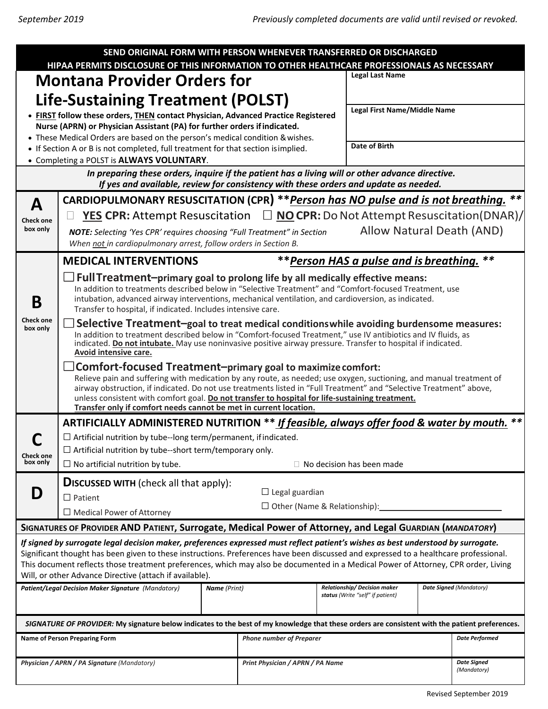| SEND ORIGINAL FORM WITH PERSON WHENEVER TRANSFERRED OR DISCHARGED<br>HIPAA PERMITS DISCLOSURE OF THIS INFORMATION TO OTHER HEALTHCARE PROFESSIONALS AS NECESSARY                                                                                                                                                                                                                                                                                                            |                                                                                                                                                                                                                                                                                                                                                                                                                                                                                             |  |                                                                         |                                |                              |                                   |  |
|-----------------------------------------------------------------------------------------------------------------------------------------------------------------------------------------------------------------------------------------------------------------------------------------------------------------------------------------------------------------------------------------------------------------------------------------------------------------------------|---------------------------------------------------------------------------------------------------------------------------------------------------------------------------------------------------------------------------------------------------------------------------------------------------------------------------------------------------------------------------------------------------------------------------------------------------------------------------------------------|--|-------------------------------------------------------------------------|--------------------------------|------------------------------|-----------------------------------|--|
| <b>Montana Provider Orders for</b>                                                                                                                                                                                                                                                                                                                                                                                                                                          |                                                                                                                                                                                                                                                                                                                                                                                                                                                                                             |  |                                                                         | <b>Legal Last Name</b>         |                              |                                   |  |
|                                                                                                                                                                                                                                                                                                                                                                                                                                                                             |                                                                                                                                                                                                                                                                                                                                                                                                                                                                                             |  |                                                                         |                                |                              |                                   |  |
| <b>Life-Sustaining Treatment (POLST)</b><br>• FIRST follow these orders, THEN contact Physician, Advanced Practice Registered                                                                                                                                                                                                                                                                                                                                               |                                                                                                                                                                                                                                                                                                                                                                                                                                                                                             |  |                                                                         |                                | Legal First Name/Middle Name |                                   |  |
|                                                                                                                                                                                                                                                                                                                                                                                                                                                                             | Nurse (APRN) or Physician Assistant (PA) for further orders if indicated.                                                                                                                                                                                                                                                                                                                                                                                                                   |  |                                                                         |                                |                              |                                   |  |
| • These Medical Orders are based on the person's medical condition & wishes.                                                                                                                                                                                                                                                                                                                                                                                                |                                                                                                                                                                                                                                                                                                                                                                                                                                                                                             |  |                                                                         |                                | Date of Birth                |                                   |  |
| • If Section A or B is not completed, full treatment for that section is implied.<br>• Completing a POLST is ALWAYS VOLUNTARY.                                                                                                                                                                                                                                                                                                                                              |                                                                                                                                                                                                                                                                                                                                                                                                                                                                                             |  |                                                                         |                                |                              |                                   |  |
| In preparing these orders, inquire if the patient has a living will or other advance directive.<br>If yes and available, review for consistency with these orders and update as needed.                                                                                                                                                                                                                                                                                     |                                                                                                                                                                                                                                                                                                                                                                                                                                                                                             |  |                                                                         |                                |                              |                                   |  |
| А                                                                                                                                                                                                                                                                                                                                                                                                                                                                           | CARDIOPULMONARY RESUSCITATION (CPR) ** Person has NO pulse and is not breathing.                                                                                                                                                                                                                                                                                                                                                                                                            |  |                                                                         |                                |                              |                                   |  |
| <b>Check one</b><br>box only                                                                                                                                                                                                                                                                                                                                                                                                                                                | <b><u>YES</u></b> CPR: Attempt Resuscitation $\Box$ <b>NO CPR:</b> Do Not Attempt Resuscitation(DNAR)/                                                                                                                                                                                                                                                                                                                                                                                      |  |                                                                         |                                |                              |                                   |  |
|                                                                                                                                                                                                                                                                                                                                                                                                                                                                             | Allow Natural Death (AND)<br><b>NOTE:</b> Selecting 'Yes CPR' requires choosing "Full Treatment" in Section<br>When not in cardiopulmonary arrest, follow orders in Section B.                                                                                                                                                                                                                                                                                                              |  |                                                                         |                                |                              |                                   |  |
| Β<br><b>Check one</b><br>box only                                                                                                                                                                                                                                                                                                                                                                                                                                           | **Person HAS a pulse and is breathing.<br>**<br><b>MEDICAL INTERVENTIONS</b>                                                                                                                                                                                                                                                                                                                                                                                                                |  |                                                                         |                                |                              |                                   |  |
|                                                                                                                                                                                                                                                                                                                                                                                                                                                                             | Full Treatment-primary goal to prolong life by all medically effective means:<br>In addition to treatments described below in "Selective Treatment" and "Comfort-focused Treatment, use<br>intubation, advanced airway interventions, mechanical ventilation, and cardioversion, as indicated.<br>Transfer to hospital, if indicated. Includes intensive care.                                                                                                                              |  |                                                                         |                                |                              |                                   |  |
|                                                                                                                                                                                                                                                                                                                                                                                                                                                                             | Selective Treatment-goal to treat medical conditions while avoiding burdensome measures:<br>In addition to treatment described below in "Comfort-focused Treatment," use IV antibiotics and IV fluids, as<br>indicated. Do not intubate. May use noninvasive positive airway pressure. Transfer to hospital if indicated.<br>Avoid intensive care.                                                                                                                                          |  |                                                                         |                                |                              |                                   |  |
|                                                                                                                                                                                                                                                                                                                                                                                                                                                                             | $\exists$ Comfort-focused Treatment-primary goal to maximize comfort:<br>Relieve pain and suffering with medication by any route, as needed; use oxygen, suctioning, and manual treatment of<br>airway obstruction, if indicated. Do not use treatments listed in "Full Treatment" and "Selective Treatment" above,<br>unless consistent with comfort goal. Do not transfer to hospital for life-sustaining treatment.<br>Transfer only if comfort needs cannot be met in current location. |  |                                                                         |                                |                              |                                   |  |
| <b>Check one</b><br>box only                                                                                                                                                                                                                                                                                                                                                                                                                                                | ARTIFICIALLY ADMINISTERED NUTRITION ** If feasible, always offer food & water by mouth.                                                                                                                                                                                                                                                                                                                                                                                                     |  |                                                                         |                                |                              |                                   |  |
|                                                                                                                                                                                                                                                                                                                                                                                                                                                                             | $\Box$ Artificial nutrition by tube--long term/permanent, if indicated.<br>$\Box$ Artificial nutrition by tube--short term/temporary only.                                                                                                                                                                                                                                                                                                                                                  |  |                                                                         |                                |                              |                                   |  |
|                                                                                                                                                                                                                                                                                                                                                                                                                                                                             | $\Box$ No artificial nutrition by tube.<br>$\Box$ No decision has been made                                                                                                                                                                                                                                                                                                                                                                                                                 |  |                                                                         |                                |                              |                                   |  |
| D                                                                                                                                                                                                                                                                                                                                                                                                                                                                           | <b>DISCUSSED WITH</b> (check all that apply):                                                                                                                                                                                                                                                                                                                                                                                                                                               |  |                                                                         |                                |                              |                                   |  |
|                                                                                                                                                                                                                                                                                                                                                                                                                                                                             | $\Box$ Legal guardian<br>$\Box$ Patient                                                                                                                                                                                                                                                                                                                                                                                                                                                     |  |                                                                         |                                |                              |                                   |  |
|                                                                                                                                                                                                                                                                                                                                                                                                                                                                             | $\Box$ Other (Name & Relationship):<br>$\Box$ Medical Power of Attorney                                                                                                                                                                                                                                                                                                                                                                                                                     |  |                                                                         |                                |                              |                                   |  |
| SIGNATURES OF PROVIDER AND PATIENT, Surrogate, Medical Power of Attorney, and Legal GUARDIAN (MANDATORY)                                                                                                                                                                                                                                                                                                                                                                    |                                                                                                                                                                                                                                                                                                                                                                                                                                                                                             |  |                                                                         |                                |                              |                                   |  |
| If signed by surrogate legal decision maker, preferences expressed must reflect patient's wishes as best understood by surrogate.<br>Significant thought has been given to these instructions. Preferences have been discussed and expressed to a healthcare professional.<br>This document reflects those treatment preferences, which may also be documented in a Medical Power of Attorney, CPR order, Living<br>Will, or other Advance Directive (attach if available). |                                                                                                                                                                                                                                                                                                                                                                                                                                                                                             |  |                                                                         |                                |                              |                                   |  |
| <b>Name</b> (Print)<br>Patient/Legal Decision Maker Signature (Mandatory)                                                                                                                                                                                                                                                                                                                                                                                                   |                                                                                                                                                                                                                                                                                                                                                                                                                                                                                             |  | <b>Relationship/ Decision maker</b><br>status (Write "self" if patient) | <b>Date Signed (Mandatory)</b> |                              |                                   |  |
| SIGNATURE OF PROVIDER: My signature below indicates to the best of my knowledge that these orders are consistent with the patient preferences.                                                                                                                                                                                                                                                                                                                              |                                                                                                                                                                                                                                                                                                                                                                                                                                                                                             |  |                                                                         |                                |                              |                                   |  |
| <b>Name of Person Preparing Form</b>                                                                                                                                                                                                                                                                                                                                                                                                                                        |                                                                                                                                                                                                                                                                                                                                                                                                                                                                                             |  | <b>Phone number of Preparer</b>                                         |                                |                              | <b>Date Performed</b>             |  |
| Physician / APRN / PA Signature (Mandatory)                                                                                                                                                                                                                                                                                                                                                                                                                                 |                                                                                                                                                                                                                                                                                                                                                                                                                                                                                             |  | Print Physician / APRN / PA Name                                        |                                |                              | <b>Date Signed</b><br>(Mandatory) |  |